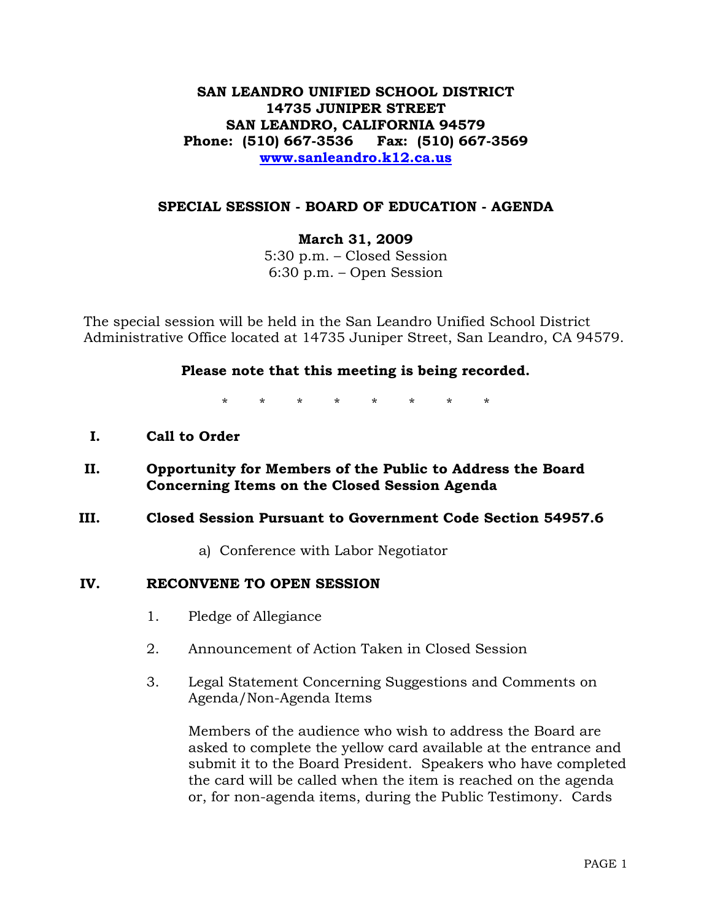# **SAN LEANDRO UNIFIED SCHOOL DISTRICT 14735 JUNIPER STREET SAN LEANDRO, CALIFORNIA 94579 Phone: (510) 667-3536 Fax: (510) 667-3569 www.sanleandro.k12.ca.us**

## **SPECIAL SESSION - BOARD OF EDUCATION - AGENDA**

**March 31, 2009** 

5:30 p.m. – Closed Session 6:30 p.m. – Open Session

The special session will be held in the San Leandro Unified School District Administrative Office located at 14735 Juniper Street, San Leandro, CA 94579.

### **Please note that this meeting is being recorded.**

\* \* \* \* \* \* \* \*

- **I. Call to Order**
- **II. Opportunity for Members of the Public to Address the Board Concerning Items on the Closed Session Agenda**

### **III. Closed Session Pursuant to Government Code Section 54957.6**

a) Conference with Labor Negotiator

### **IV. RECONVENE TO OPEN SESSION**

- 1. Pledge of Allegiance
- 2. Announcement of Action Taken in Closed Session
- 3. Legal Statement Concerning Suggestions and Comments on Agenda/Non-Agenda Items

Members of the audience who wish to address the Board are asked to complete the yellow card available at the entrance and submit it to the Board President. Speakers who have completed the card will be called when the item is reached on the agenda or, for non-agenda items, during the Public Testimony. Cards